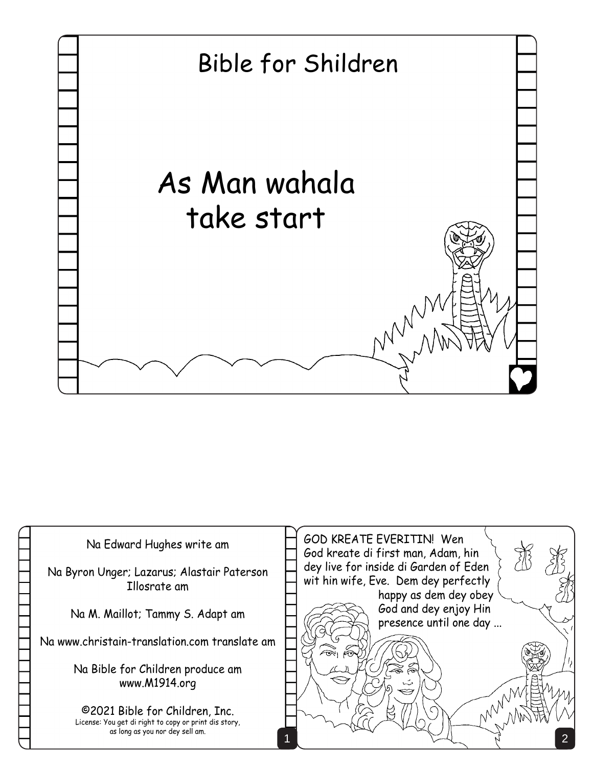

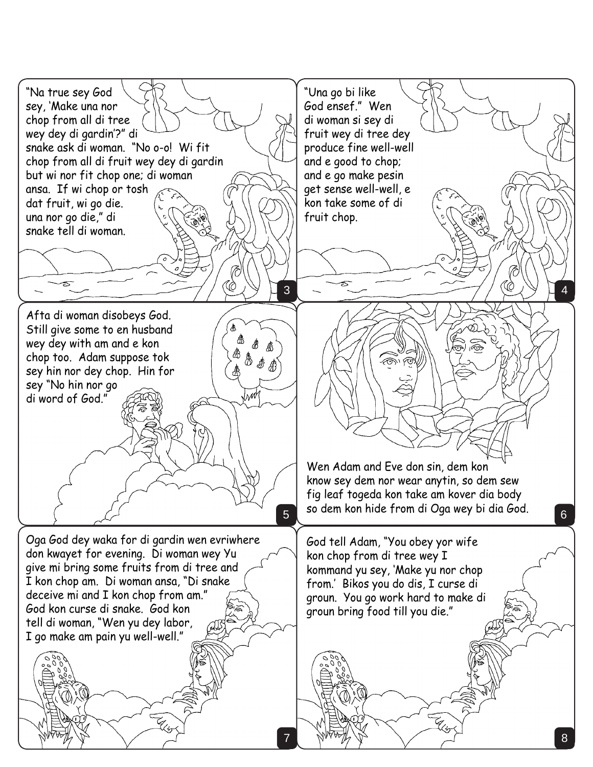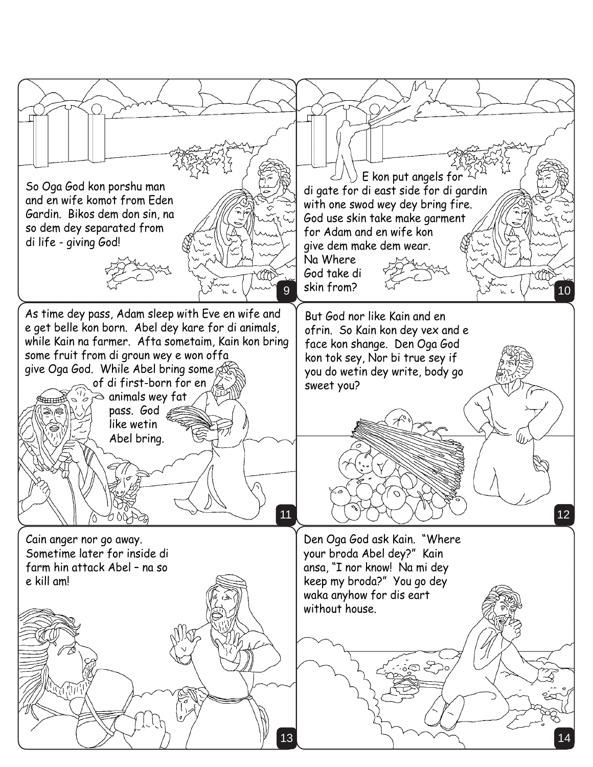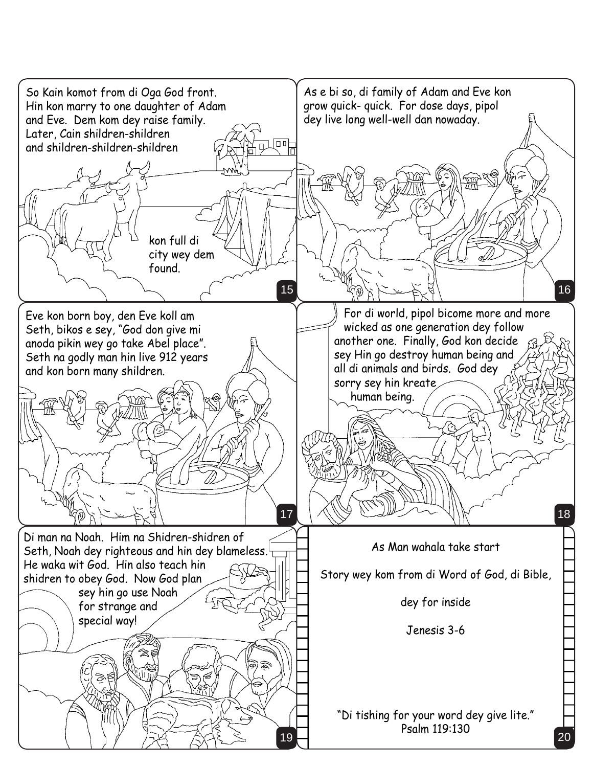